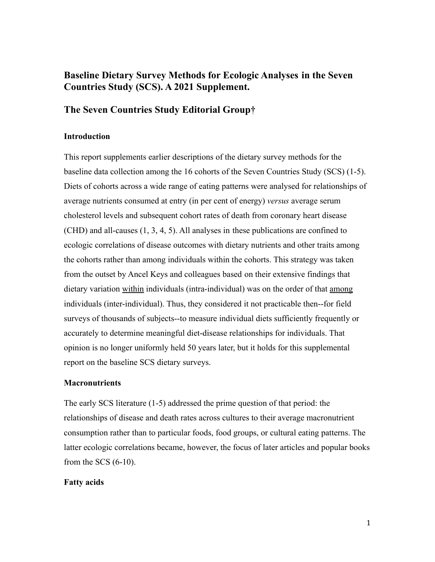# **Baseline Dietary Survey Methods for Ecologic Analyses in the Seven Countries Study (SCS). A 2021 Supplement.**

## **The Seven Countries Study Editorial Group†**

### **Introduction**

This report supplements earlier descriptions of the dietary survey methods for the baseline data collection among the 16 cohorts of the Seven Countries Study (SCS) (1-5). Diets of cohorts across a wide range of eating patterns were analysed for relationships of average nutrients consumed at entry (in per cent of energy) *versus* average serum cholesterol levels and subsequent cohort rates of death from coronary heart disease (CHD) and all-causes (1, 3, 4, 5). All analyses in these publications are confined to ecologic correlations of disease outcomes with dietary nutrients and other traits among the cohorts rather than among individuals within the cohorts. This strategy was taken from the outset by Ancel Keys and colleagues based on their extensive findings that dietary variation within individuals (intra-individual) was on the order of that among individuals (inter-individual). Thus, they considered it not practicable then--for field surveys of thousands of subjects--to measure individual diets sufficiently frequently or accurately to determine meaningful diet-disease relationships for individuals. That opinion is no longer uniformly held 50 years later, but it holds for this supplemental report on the baseline SCS dietary surveys.

### **Macronutrients**

The early SCS literature (1-5) addressed the prime question of that period: the relationships of disease and death rates across cultures to their average macronutrient consumption rather than to particular foods, food groups, or cultural eating patterns. The latter ecologic correlations became, however, the focus of later articles and popular books from the SCS (6-10).

### **Fatty acids**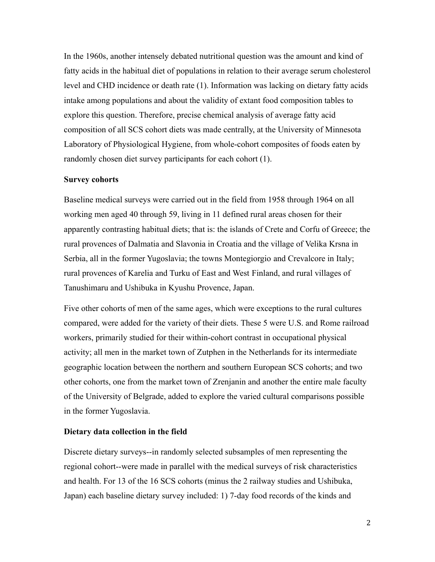In the 1960s, another intensely debated nutritional question was the amount and kind of fatty acids in the habitual diet of populations in relation to their average serum cholesterol level and CHD incidence or death rate (1). Information was lacking on dietary fatty acids intake among populations and about the validity of extant food composition tables to explore this question. Therefore, precise chemical analysis of average fatty acid composition of all SCS cohort diets was made centrally, at the University of Minnesota Laboratory of Physiological Hygiene, from whole-cohort composites of foods eaten by randomly chosen diet survey participants for each cohort (1).

#### **Survey cohorts**

Baseline medical surveys were carried out in the field from 1958 through 1964 on all working men aged 40 through 59, living in 11 defined rural areas chosen for their apparently contrasting habitual diets; that is: the islands of Crete and Corfu of Greece; the rural provences of Dalmatia and Slavonia in Croatia and the village of Velika Krsna in Serbia, all in the former Yugoslavia; the towns Montegiorgio and Crevalcore in Italy; rural provences of Karelia and Turku of East and West Finland, and rural villages of Tanushimaru and Ushibuka in Kyushu Provence, Japan.

Five other cohorts of men of the same ages, which were exceptions to the rural cultures compared, were added for the variety of their diets. These 5 were U.S. and Rome railroad workers, primarily studied for their within-cohort contrast in occupational physical activity; all men in the market town of Zutphen in the Netherlands for its intermediate geographic location between the northern and southern European SCS cohorts; and two other cohorts, one from the market town of Zrenjanin and another the entire male faculty of the University of Belgrade, added to explore the varied cultural comparisons possible in the former Yugoslavia.

### **Dietary data collection in the field**

Discrete dietary surveys--in randomly selected subsamples of men representing the regional cohort--were made in parallel with the medical surveys of risk characteristics and health. For 13 of the 16 SCS cohorts (minus the 2 railway studies and Ushibuka, Japan) each baseline dietary survey included: 1) 7-day food records of the kinds and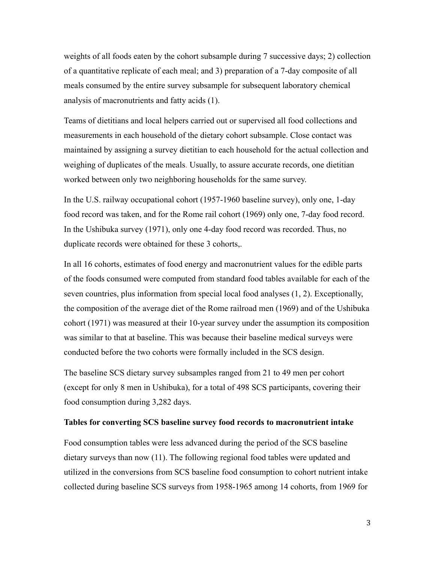weights of all foods eaten by the cohort subsample during 7 successive days; 2) collection of a quantitative replicate of each meal; and 3) preparation of a 7-day composite of all meals consumed by the entire survey subsample for subsequent laboratory chemical analysis of macronutrients and fatty acids (1).

Teams of dietitians and local helpers carried out or supervised all food collections and measurements in each household of the dietary cohort subsample. Close contact was maintained by assigning a survey dietitian to each household for the actual collection and weighing of duplicates of the meals. Usually, to assure accurate records, one dietitian worked between only two neighboring households for the same survey.

In the U.S. railway occupational cohort (1957-1960 baseline survey), only one, 1-day food record was taken, and for the Rome rail cohort (1969) only one, 7-day food record. In the Ushibuka survey (1971), only one 4-day food record was recorded. Thus, no duplicate records were obtained for these 3 cohorts,.

In all 16 cohorts, estimates of food energy and macronutrient values for the edible parts of the foods consumed were computed from standard food tables available for each of the seven countries, plus information from special local food analyses (1, 2). Exceptionally, the composition of the average diet of the Rome railroad men (1969) and of the Ushibuka cohort (1971) was measured at their 10-year survey under the assumption its composition was similar to that at baseline. This was because their baseline medical surveys were conducted before the two cohorts were formally included in the SCS design.

The baseline SCS dietary survey subsamples ranged from 21 to 49 men per cohort (except for only 8 men in Ushibuka), for a total of 498 SCS participants, covering their food consumption during 3,282 days.

#### **Tables for converting SCS baseline survey food records to macronutrient intake**

Food consumption tables were less advanced during the period of the SCS baseline dietary surveys than now (11). The following regional food tables were updated and utilized in the conversions from SCS baseline food consumption to cohort nutrient intake collected during baseline SCS surveys from 1958-1965 among 14 cohorts, from 1969 for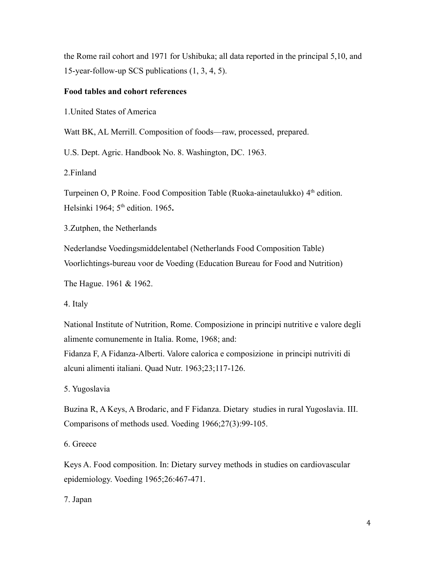the Rome rail cohort and 1971 for Ushibuka; all data reported in the principal 5,10, and 15-year-follow-up SCS publications (1, 3, 4, 5).

### **Food tables and cohort references**

1.United States of America

Watt BK, AL Merrill. Composition of foods—raw, processed, prepared.

U.S. Dept. Agric. Handbook No. 8. Washington, DC. 1963.

2.Finland

Turpeinen O, P Roine. Food Composition Table (Ruoka-ainetaulukko) 4<sup>th</sup> edition. Helsinki 1964; 5th edition. 1965**.**

3.Zutphen, the Netherlands

Nederlandse Voedingsmiddelentabel (Netherlands Food Composition Table) Voorlichtings-bureau voor de Voeding (Education Bureau for Food and Nutrition)

The Hague. 1961 & 1962.

4. Italy

National Institute of Nutrition, Rome. Composizione in principi nutritive e valore degli alimente comunemente in Italia. Rome, 1968; and:

Fidanza F, A Fidanza-Alberti. Valore calorica e composizione in principi nutriviti di alcuni alimenti italiani. Quad Nutr. 1963;23;117-126.

5. Yugoslavia

Buzina R, A Keys, A Brodaric, and F Fidanza. Dietary studies in rural Yugoslavia. III. Comparisons of methods used. Voeding 1966;27(3):99-105.

6. Greece

Keys A. Food composition. In: Dietary survey methods in studies on cardiovascular epidemiology. Voeding 1965;26:467-471.

7. Japan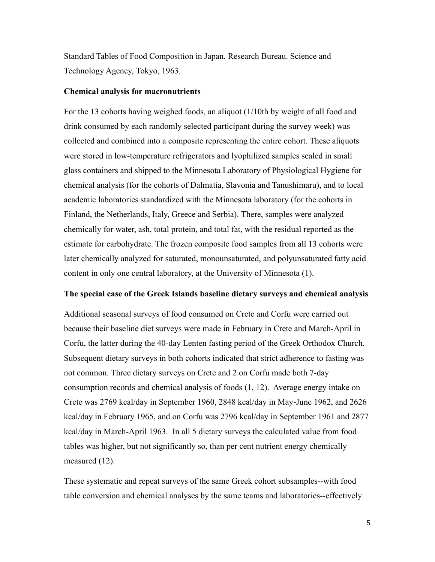Standard Tables of Food Composition in Japan. Research Bureau. Science and Technology Agency, Tokyo, 1963.

### **Chemical analysis for macronutrients**

For the 13 cohorts having weighed foods, an aliquot (1/10th by weight of all food and drink consumed by each randomly selected participant during the survey week) was collected and combined into a composite representing the entire cohort. These aliquots were stored in low-temperature refrigerators and lyophilized samples sealed in small glass containers and shipped to the Minnesota Laboratory of Physiological Hygiene for chemical analysis (for the cohorts of Dalmatia, Slavonia and Tanushimaru), and to local academic laboratories standardized with the Minnesota laboratory (for the cohorts in Finland, the Netherlands, Italy, Greece and Serbia). There, samples were analyzed chemically for water, ash, total protein, and total fat, with the residual reported as the estimate for carbohydrate. The frozen composite food samples from all 13 cohorts were later chemically analyzed for saturated, monounsaturated, and polyunsaturated fatty acid content in only one central laboratory, at the University of Minnesota (1).

#### **The special case of the Greek Islands baseline dietary surveys and chemical analysis**

Additional seasonal surveys of food consumed on Crete and Corfu were carried out because their baseline diet surveys were made in February in Crete and March-April in Corfu, the latter during the 40-day Lenten fasting period of the Greek Orthodox Church. Subsequent dietary surveys in both cohorts indicated that strict adherence to fasting was not common. Three dietary surveys on Crete and 2 on Corfu made both 7-day consumption records and chemical analysis of foods (1, 12). Average energy intake on Crete was 2769 kcal/day in September 1960, 2848 kcal/day in May-June 1962, and 2626 kcal/day in February 1965, and on Corfu was 2796 kcal/day in September 1961 and 2877 kcal/day in March-April 1963. In all 5 dietary surveys the calculated value from food tables was higher, but not significantly so, than per cent nutrient energy chemically measured (12).

These systematic and repeat surveys of the same Greek cohort subsamples--with food table conversion and chemical analyses by the same teams and laboratories--effectively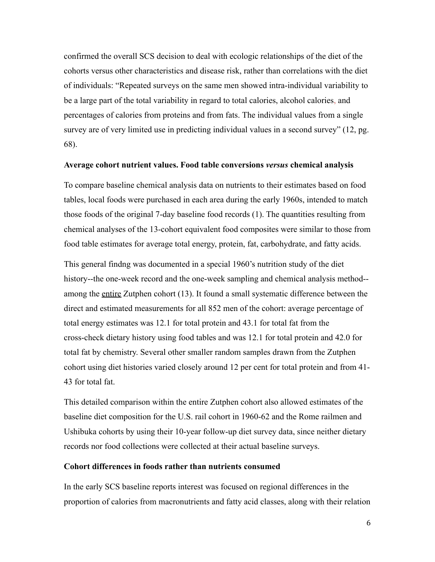confirmed the overall SCS decision to deal with ecologic relationships of the diet of the cohorts versus other characteristics and disease risk, rather than correlations with the diet of individuals: "Repeated surveys on the same men showed intra-individual variability to be a large part of the total variability in regard to total calories, alcohol calories, and percentages of calories from proteins and from fats. The individual values from a single survey are of very limited use in predicting individual values in a second survey" (12, pg. 68).

### **Average cohort nutrient values. Food table conversions** *versus* **chemical analysis**

To compare baseline chemical analysis data on nutrients to their estimates based on food tables, local foods were purchased in each area during the early 1960s, intended to match those foods of the original 7-day baseline food records (1). The quantities resulting from chemical analyses of the 13-cohort equivalent food composites were similar to those from food table estimates for average total energy, protein, fat, carbohydrate, and fatty acids.

This general findng was documented in a special 1960's nutrition study of the diet history--the one-week record and the one-week sampling and chemical analysis method- among the entire Zutphen cohort (13). It found a small systematic difference between the direct and estimated measurements for all 852 men of the cohort: average percentage of total energy estimates was 12.1 for total protein and 43.1 for total fat from the cross-check dietary history using food tables and was 12.1 for total protein and 42.0 for total fat by chemistry. Several other smaller random samples drawn from the Zutphen cohort using diet histories varied closely around 12 per cent for total protein and from 41- 43 for total fat.

This detailed comparison within the entire Zutphen cohort also allowed estimates of the baseline diet composition for the U.S. rail cohort in 1960-62 and the Rome railmen and Ushibuka cohorts by using their 10-year follow-up diet survey data, since neither dietary records nor food collections were collected at their actual baseline surveys.

### **Cohort differences in foods rather than nutrients consumed**

In the early SCS baseline reports interest was focused on regional differences in the proportion of calories from macronutrients and fatty acid classes, along with their relation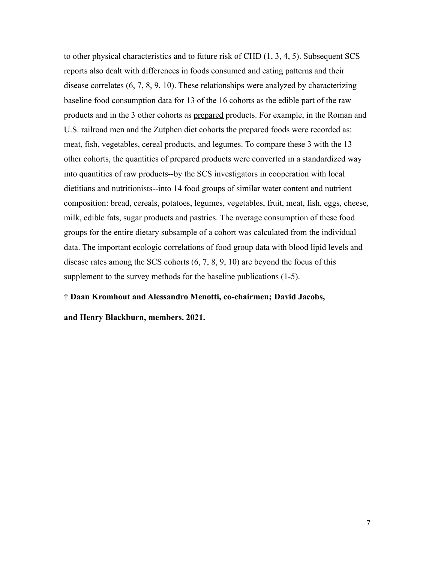to other physical characteristics and to future risk of CHD (1, 3, 4, 5). Subsequent SCS reports also dealt with differences in foods consumed and eating patterns and their disease correlates (6, 7, 8, 9, 10). These relationships were analyzed by characterizing baseline food consumption data for 13 of the 16 cohorts as the edible part of the raw products and in the 3 other cohorts as prepared products. For example, in the Roman and U.S. railroad men and the Zutphen diet cohorts the prepared foods were recorded as: meat, fish, vegetables, cereal products, and legumes. To compare these 3 with the 13 other cohorts, the quantities of prepared products were converted in a standardized way into quantities of raw products--by the SCS investigators in cooperation with local dietitians and nutritionists--into 14 food groups of similar water content and nutrient composition: bread, cereals, potatoes, legumes, vegetables, fruit, meat, fish, eggs, cheese, milk, edible fats, sugar products and pastries. The average consumption of these food groups for the entire dietary subsample of a cohort was calculated from the individual data. The important ecologic correlations of food group data with blood lipid levels and disease rates among the SCS cohorts (6, 7, 8, 9, 10) are beyond the focus of this supplement to the survey methods for the baseline publications (1-5).

### **† Daan Kromhout and Alessandro Menotti, co-chairmen; David Jacobs,**

**and Henry Blackburn, members. 2021.**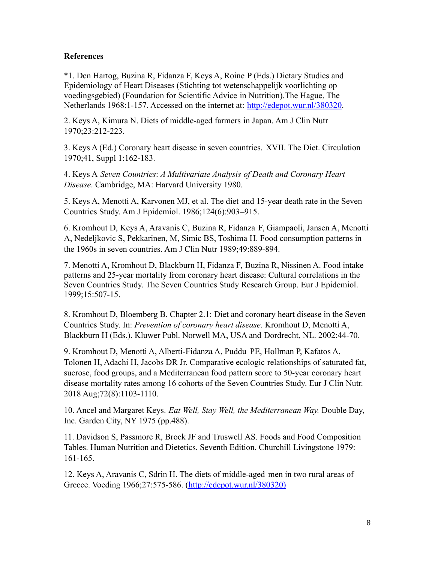### **References**

\*1. Den Hartog, Buzina R, Fidanza F, Keys A, Roine P (Eds.) Dietary Studies and Epidemiology of Heart Diseases (Stichting tot wetenschappelijk voorlichting op voedingsgebied) (Foundation for Scientific Advice in Nutrition).The Hague, The Netherlands 1968:1-157. Accessed on the internet at: <http://edepot.wur.nl/380320>.

2. Keys A, Kimura N. Diets of middle-aged farmers in Japan. Am J Clin Nutr 1970;23:212-223.

3. Keys A (Ed.) Coronary heart disease in seven countries. XVII. The Diet. Circulation 1970;41, Suppl 1:162-183.

4. Keys A *Seven Countries*: *A Multivariate Analysis of Death and Coronary Heart Disease*. Cambridge, MA: Harvard University 1980.

5. Keys A, Menotti A, Karvonen MJ, et al. The diet and 15-year death rate in the Seven Countries Study. Am J Epidemiol. 1986;124(6):903**–**915.

6. Kromhout D, Keys A, Aravanis C, Buzina R, Fidanza F, Giampaoli, Jansen A, Menotti A, Nedeljkovic S, Pekkarinen, M, Simic BS, Toshima H. Food consumption patterns in the 1960s in seven countries. Am J Clin Nutr 1989;49:889-894.

7. Menotti A, Kromhout D, Blackburn H, Fidanza F, Buzina R, Nissinen A. Food intake patterns and 25-year mortality from coronary heart disease: Cultural correlations in the Seven Countries Study. The Seven Countries Study Research Group. Eur J Epidemiol. 1999;15:507-15.

8. Kromhout D, Bloemberg B. Chapter 2.1: Diet and coronary heart disease in the Seven Countries Study. In: *Prevention of coronary heart disease*. Kromhout D, Menotti A, Blackburn H (Eds.). Kluwer Publ. Norwell MA, USA and Dordrecht, NL. 2002:44-70.

9. Kromhout D, Menotti A, Alberti-Fidanza A, Puddu PE, Hollman P, Kafatos A, Tolonen H, Adachi H, Jacobs DR Jr. Comparative ecologic relationships of saturated fat, sucrose, food groups, and a Mediterranean food pattern score to 50-year coronary heart disease mortality rates among 16 cohorts of the Seven Countries Study. Eur J Clin Nutr. 2018 Aug;72(8):1103-1110.

10. Ancel and Margaret Keys. *Eat Well, Stay Well, the Mediterranean Way.* Double Day, Inc. Garden City, NY 1975 (pp.488).

11. Davidson S, Passmore R, Brock JF and Truswell AS. Foods and Food Composition Tables. Human Nutrition and Dietetics. Seventh Edition. Churchill Livingstone 1979: 161-165.

12. Keys A, Aravanis C, Sdrin H. The diets of middle-aged men in two rural areas of Greece. Voeding 1966;27:575-586. [\(http://edepot.wur.nl/380320\)](http://edepot.wur.nl/380320)